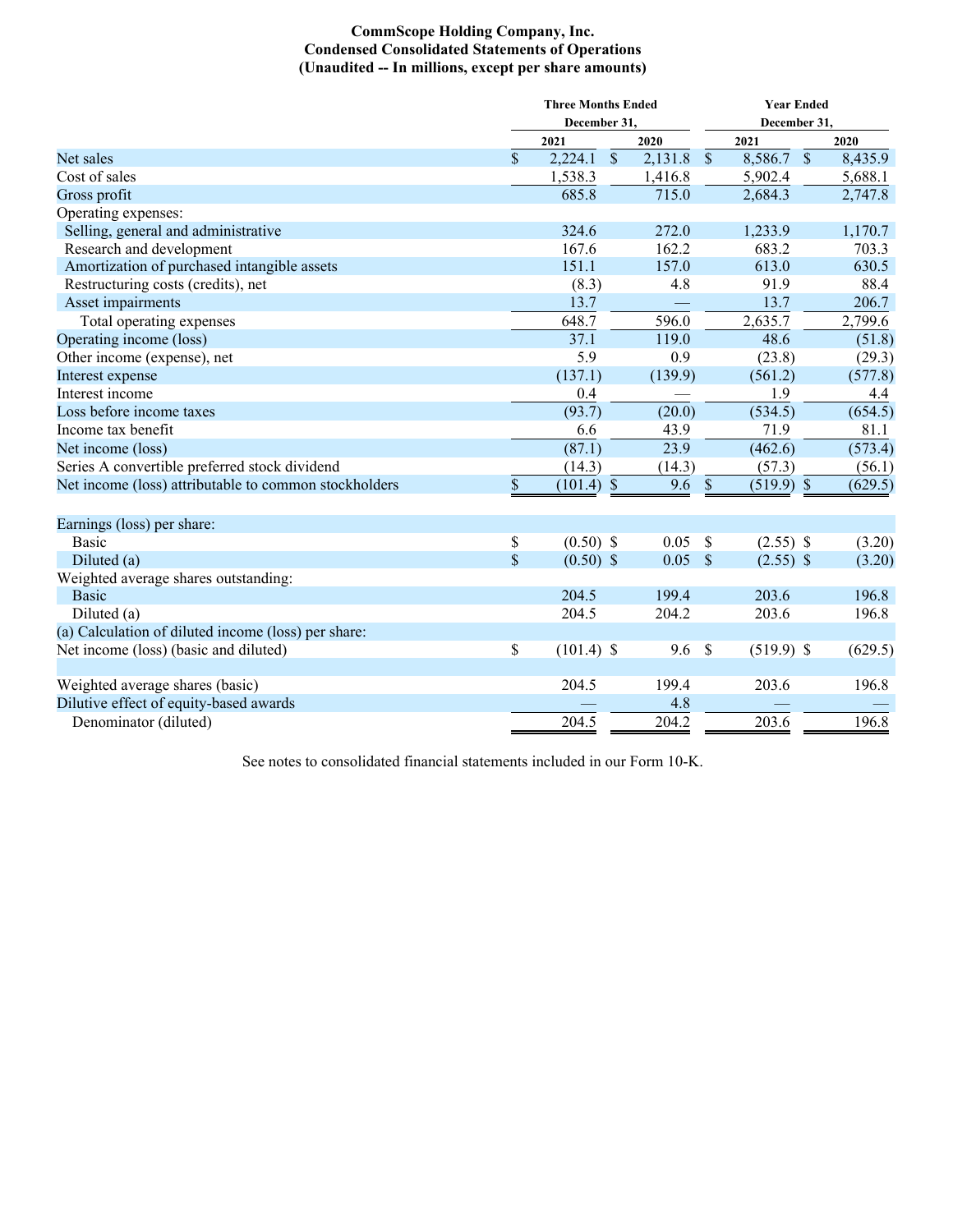## **CommScope Holding Company, Inc. Condensed Consolidated Statements of Operations (Unaudited -- In millions, except per share amounts)**

|                                                       |                         | <b>Three Months Ended</b> |                  | <b>Year Ended</b>            |                       |  |  |  |  |
|-------------------------------------------------------|-------------------------|---------------------------|------------------|------------------------------|-----------------------|--|--|--|--|
|                                                       |                         | December 31,              |                  | December 31,                 |                       |  |  |  |  |
|                                                       |                         | 2021                      | 2020             | 2021                         | 2020                  |  |  |  |  |
| Net sales                                             | \$                      | 2,224.1<br>$\sqrt{\ }$    | 2,131.8          | $\mathcal{S}$<br>8,586.7     | $\sqrt{S}$<br>8,435.9 |  |  |  |  |
| Cost of sales                                         |                         | 1,538.3                   | 1,416.8          | 5,902.4                      | 5,688.1               |  |  |  |  |
| Gross profit                                          |                         | 685.8                     | 715.0            | 2,684.3                      | 2,747.8               |  |  |  |  |
| Operating expenses:                                   |                         |                           |                  |                              |                       |  |  |  |  |
| Selling, general and administrative                   |                         | 324.6                     | 272.0            | 1,233.9                      | 1,170.7               |  |  |  |  |
| Research and development                              |                         | 167.6                     | 162.2            | 683.2                        | 703.3                 |  |  |  |  |
| Amortization of purchased intangible assets           |                         | 151.1                     | 157.0            | 613.0                        | 630.5                 |  |  |  |  |
| Restructuring costs (credits), net                    |                         | (8.3)                     | 4.8              | 91.9                         | 88.4                  |  |  |  |  |
| Asset impairments                                     |                         | 13.7                      |                  | 13.7                         | 206.7                 |  |  |  |  |
| Total operating expenses                              |                         | 648.7                     | 596.0            | 2,635.7                      | 2,799.6               |  |  |  |  |
| Operating income (loss)                               |                         | 37.1                      | 119.0            | 48.6                         | (51.8)                |  |  |  |  |
| Other income (expense), net                           |                         | 5.9                       | 0.9              | (23.8)                       | (29.3)                |  |  |  |  |
| Interest expense                                      |                         | (137.1)                   | (139.9)          | (561.2)                      | (577.8)               |  |  |  |  |
| Interest income                                       |                         | 0.4                       |                  | 1.9                          | 4.4                   |  |  |  |  |
| Loss before income taxes                              |                         | (93.7)                    | (20.0)           | (534.5)                      | (654.5)               |  |  |  |  |
| Income tax benefit                                    |                         | 6.6                       | 43.9             | 71.9                         | 81.1                  |  |  |  |  |
| Net income (loss)                                     |                         | (87.1)                    | 23.9             | (462.6)                      | (573.4)               |  |  |  |  |
| Series A convertible preferred stock dividend         |                         | (14.3)                    | (14.3)           | (57.3)                       | (56.1)                |  |  |  |  |
| Net income (loss) attributable to common stockholders | \$                      | $(101.4)$ \$              | 9.6              | $(519.9)$ \$<br>\$           | (629.5)               |  |  |  |  |
|                                                       |                         |                           |                  |                              |                       |  |  |  |  |
| Earnings (loss) per share:                            |                         |                           |                  |                              |                       |  |  |  |  |
| <b>Basic</b>                                          | \$                      | $(0.50)$ \$               | 0.05             | $\mathcal{S}$<br>$(2.55)$ \$ | (3.20)                |  |  |  |  |
| Diluted (a)                                           | $\overline{\mathbb{S}}$ | $(0.50)$ \$               | $0.05$ \$        | $(2.55)$ \$                  | (3.20)                |  |  |  |  |
| Weighted average shares outstanding:                  |                         |                           |                  |                              |                       |  |  |  |  |
| <b>Basic</b>                                          |                         | 204.5                     | 199.4            | 203.6                        | 196.8                 |  |  |  |  |
| Diluted (a)                                           |                         | 204.5                     | 204.2            | 203.6                        | 196.8                 |  |  |  |  |
| (a) Calculation of diluted income (loss) per share:   |                         |                           |                  |                              |                       |  |  |  |  |
| Net income (loss) (basic and diluted)                 | \$                      | $(101.4)$ \$              | 9.6 <sup>°</sup> | $(519.9)$ \$                 | (629.5)               |  |  |  |  |
|                                                       |                         |                           |                  |                              |                       |  |  |  |  |
| Weighted average shares (basic)                       |                         | 204.5                     | 199.4            | 203.6                        | 196.8                 |  |  |  |  |
| Dilutive effect of equity-based awards                |                         |                           | 4.8              |                              |                       |  |  |  |  |
| Denominator (diluted)                                 |                         | 204.5                     | 204.2            | 203.6                        | 196.8                 |  |  |  |  |

See notes to consolidated financial statements included in our Form 10-K.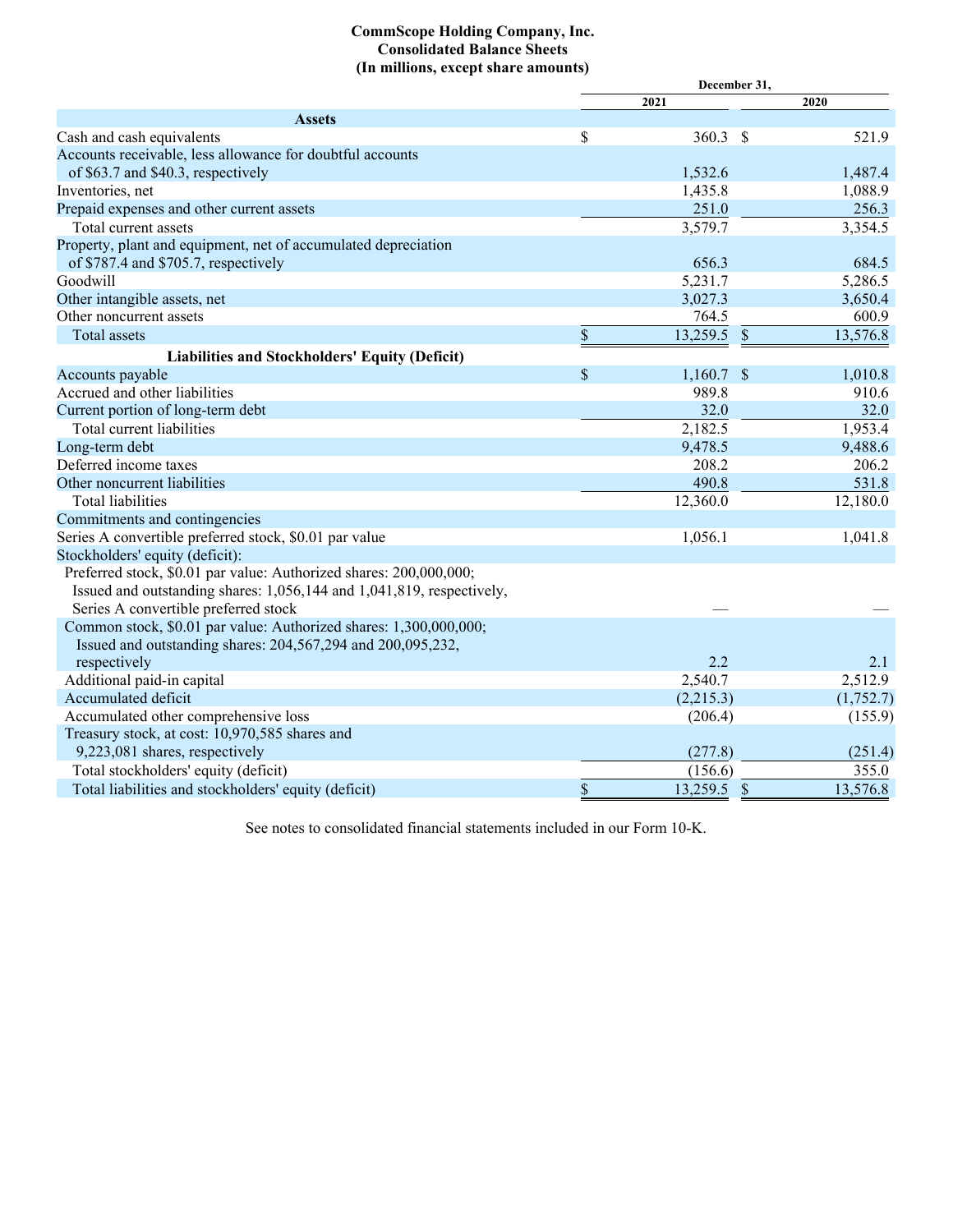## **CommScope Holding Company, Inc. Consolidated Balance Sheets (In millions, except share amounts)**

|                                                                       |    | 2021         |                           | 2020      |
|-----------------------------------------------------------------------|----|--------------|---------------------------|-----------|
| <b>Assets</b>                                                         |    |              |                           |           |
| Cash and cash equivalents                                             | \$ | 360.3        | \$                        | 521.9     |
| Accounts receivable, less allowance for doubtful accounts             |    |              |                           |           |
| of \$63.7 and \$40.3, respectively                                    |    | 1,532.6      |                           | 1,487.4   |
| Inventories, net                                                      |    | 1,435.8      |                           | 1,088.9   |
| Prepaid expenses and other current assets                             |    | 251.0        |                           | 256.3     |
| Total current assets                                                  |    | 3,579.7      |                           | 3,354.5   |
| Property, plant and equipment, net of accumulated depreciation        |    |              |                           |           |
| of \$787.4 and \$705.7, respectively                                  |    | 656.3        |                           | 684.5     |
| Goodwill                                                              |    | 5,231.7      |                           | 5,286.5   |
| Other intangible assets, net                                          |    | 3,027.3      |                           | 3,650.4   |
| Other noncurrent assets                                               |    | 764.5        |                           | 600.9     |
| <b>Total assets</b>                                                   | \$ | 13,259.5     | $\boldsymbol{\mathsf{S}}$ | 13,576.8  |
| Liabilities and Stockholders' Equity (Deficit)                        |    |              |                           |           |
| Accounts payable                                                      | \$ | $1,160.7$ \$ |                           | 1,010.8   |
| Accrued and other liabilities                                         |    | 989.8        |                           | 910.6     |
| Current portion of long-term debt                                     |    | 32.0         |                           | 32.0      |
| Total current liabilities                                             |    | 2,182.5      |                           | 1,953.4   |
| Long-term debt                                                        |    | 9,478.5      |                           | 9,488.6   |
| Deferred income taxes                                                 |    | 208.2        |                           | 206.2     |
| Other noncurrent liabilities                                          |    | 490.8        |                           | 531.8     |
| <b>Total liabilities</b>                                              |    | 12,360.0     |                           | 12,180.0  |
| Commitments and contingencies                                         |    |              |                           |           |
| Series A convertible preferred stock, \$0.01 par value                |    | 1,056.1      |                           | 1,041.8   |
| Stockholders' equity (deficit):                                       |    |              |                           |           |
| Preferred stock, \$0.01 par value: Authorized shares: 200,000,000;    |    |              |                           |           |
| Issued and outstanding shares: 1,056,144 and 1,041,819, respectively, |    |              |                           |           |
| Series A convertible preferred stock                                  |    |              |                           |           |
| Common stock, \$0.01 par value: Authorized shares: 1,300,000,000;     |    |              |                           |           |
| Issued and outstanding shares: 204,567,294 and 200,095,232,           |    |              |                           |           |
| respectively                                                          |    | 2.2          |                           | 2.1       |
| Additional paid-in capital                                            |    | 2,540.7      |                           | 2,512.9   |
| Accumulated deficit                                                   |    | (2,215.3)    |                           | (1,752.7) |
| Accumulated other comprehensive loss                                  |    | (206.4)      |                           | (155.9)   |
| Treasury stock, at cost: 10,970,585 shares and                        |    |              |                           |           |
| 9,223,081 shares, respectively                                        |    | (277.8)      |                           | (251.4)   |
| Total stockholders' equity (deficit)                                  |    | (156.6)      |                           | 355.0     |
| Total liabilities and stockholders' equity (deficit)                  | \$ | 13,259.5     | $\mathcal{S}$             | 13,576.8  |

See notes to consolidated financial statements included in our Form 10-K.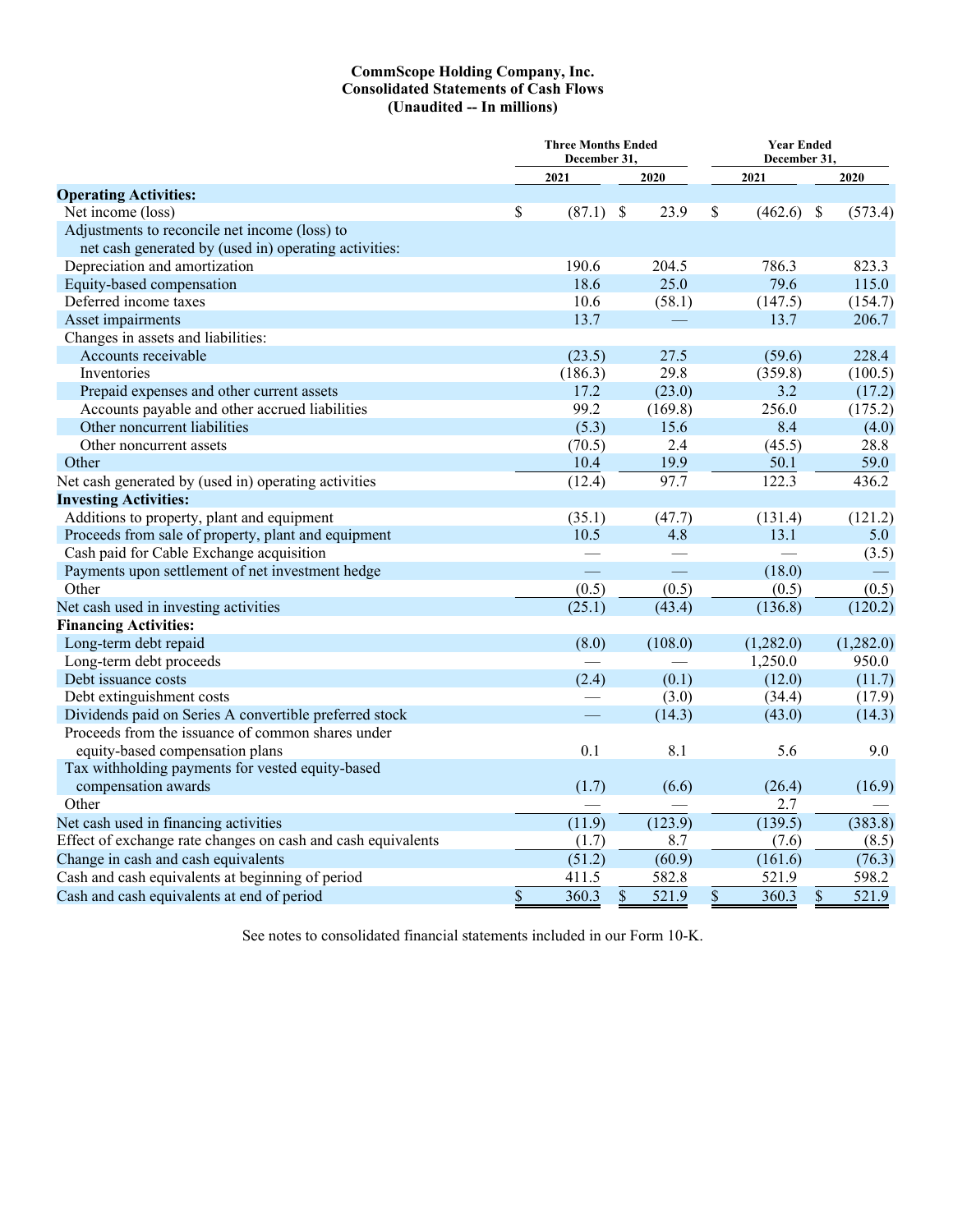#### **CommScope Holding Company, Inc. Consolidated Statements of Cash Flows (Unaudited -- In millions)**

|                                                              | <b>Three Months Ended</b><br>December 31, |             |    |            |    | <b>Year Ended</b><br>December 31, |    |           |  |  |
|--------------------------------------------------------------|-------------------------------------------|-------------|----|------------|----|-----------------------------------|----|-----------|--|--|
|                                                              |                                           | 2021        |    | 2020       |    | 2021                              |    | 2020      |  |  |
| <b>Operating Activities:</b>                                 |                                           |             |    |            |    |                                   |    |           |  |  |
| Net income (loss)                                            | \$                                        | $(87.1)$ \$ |    | 23.9       | \$ | $(462.6)$ \$                      |    | (573.4)   |  |  |
| Adjustments to reconcile net income (loss) to                |                                           |             |    |            |    |                                   |    |           |  |  |
| net cash generated by (used in) operating activities:        |                                           |             |    |            |    |                                   |    |           |  |  |
| Depreciation and amortization                                |                                           | 190.6       |    | 204.5      |    | 786.3                             |    | 823.3     |  |  |
| Equity-based compensation                                    |                                           | 18.6        |    | 25.0       |    | 79.6                              |    | 115.0     |  |  |
| Deferred income taxes                                        |                                           | 10.6        |    | (58.1)     |    | (147.5)                           |    | (154.7)   |  |  |
| Asset impairments                                            |                                           | 13.7        |    |            |    | 13.7                              |    | 206.7     |  |  |
| Changes in assets and liabilities:                           |                                           |             |    |            |    |                                   |    |           |  |  |
| Accounts receivable                                          |                                           | (23.5)      |    | 27.5       |    | (59.6)                            |    | 228.4     |  |  |
| Inventories                                                  |                                           | (186.3)     |    | 29.8       |    | (359.8)                           |    | (100.5)   |  |  |
| Prepaid expenses and other current assets                    |                                           | 17.2        |    | (23.0)     |    | 3.2                               |    | (17.2)    |  |  |
| Accounts payable and other accrued liabilities               |                                           | 99.2        |    | (169.8)    |    | 256.0                             |    | (175.2)   |  |  |
| Other noncurrent liabilities                                 |                                           | (5.3)       |    | 15.6       |    | 8.4                               |    | (4.0)     |  |  |
| Other noncurrent assets                                      |                                           | (70.5)      |    | 2.4        |    | (45.5)                            |    | 28.8      |  |  |
| Other                                                        |                                           | 10.4        |    | 19.9       |    | 50.1                              |    | 59.0      |  |  |
| Net cash generated by (used in) operating activities         |                                           | (12.4)      |    | 97.7       |    | 122.3                             |    | 436.2     |  |  |
| <b>Investing Activities:</b>                                 |                                           |             |    |            |    |                                   |    |           |  |  |
| Additions to property, plant and equipment                   |                                           | (35.1)      |    | (47.7)     |    | (131.4)                           |    | (121.2)   |  |  |
| Proceeds from sale of property, plant and equipment          |                                           | 10.5        |    | 4.8        |    | 13.1                              |    | 5.0       |  |  |
| Cash paid for Cable Exchange acquisition                     |                                           |             |    |            |    |                                   |    | (3.5)     |  |  |
| Payments upon settlement of net investment hedge             |                                           |             |    | <u>e a</u> |    | (18.0)                            |    |           |  |  |
| Other                                                        |                                           | (0.5)       |    | (0.5)      |    | (0.5)                             |    | (0.5)     |  |  |
| Net cash used in investing activities                        |                                           | (25.1)      |    | (43.4)     |    | (136.8)                           |    | (120.2)   |  |  |
| <b>Financing Activities:</b>                                 |                                           |             |    |            |    |                                   |    |           |  |  |
| Long-term debt repaid                                        |                                           | (8.0)       |    | (108.0)    |    | (1,282.0)                         |    | (1,282.0) |  |  |
| Long-term debt proceeds                                      |                                           |             |    |            |    | 1,250.0                           |    | 950.0     |  |  |
| Debt issuance costs                                          |                                           | (2.4)       |    | (0.1)      |    | (12.0)                            |    | (11.7)    |  |  |
| Debt extinguishment costs                                    |                                           |             |    | (3.0)      |    | (34.4)                            |    | (17.9)    |  |  |
| Dividends paid on Series A convertible preferred stock       |                                           |             |    | (14.3)     |    | (43.0)                            |    | (14.3)    |  |  |
| Proceeds from the issuance of common shares under            |                                           |             |    |            |    |                                   |    |           |  |  |
| equity-based compensation plans                              |                                           | 0.1         |    | 8.1        |    | 5.6                               |    | 9.0       |  |  |
| Tax withholding payments for vested equity-based             |                                           |             |    |            |    |                                   |    |           |  |  |
| compensation awards                                          |                                           | (1.7)       |    | (6.6)      |    | (26.4)                            |    | (16.9)    |  |  |
| Other                                                        |                                           |             |    |            |    | 2.7                               |    |           |  |  |
| Net cash used in financing activities                        |                                           | (11.9)      |    | (123.9)    |    | (139.5)                           |    | (383.8)   |  |  |
| Effect of exchange rate changes on cash and cash equivalents |                                           | (1.7)       |    | 8.7        |    | (7.6)                             |    | (8.5)     |  |  |
| Change in cash and cash equivalents                          |                                           | (51.2)      |    | (60.9)     |    | (161.6)                           |    | (76.3)    |  |  |
| Cash and cash equivalents at beginning of period             |                                           | 411.5       |    | 582.8      |    | 521.9                             |    | 598.2     |  |  |
| Cash and cash equivalents at end of period                   | \$                                        | 360.3       | \$ | 521.9      | \$ | 360.3                             | \$ | 521.9     |  |  |

See notes to consolidated financial statements included in our Form 10-K.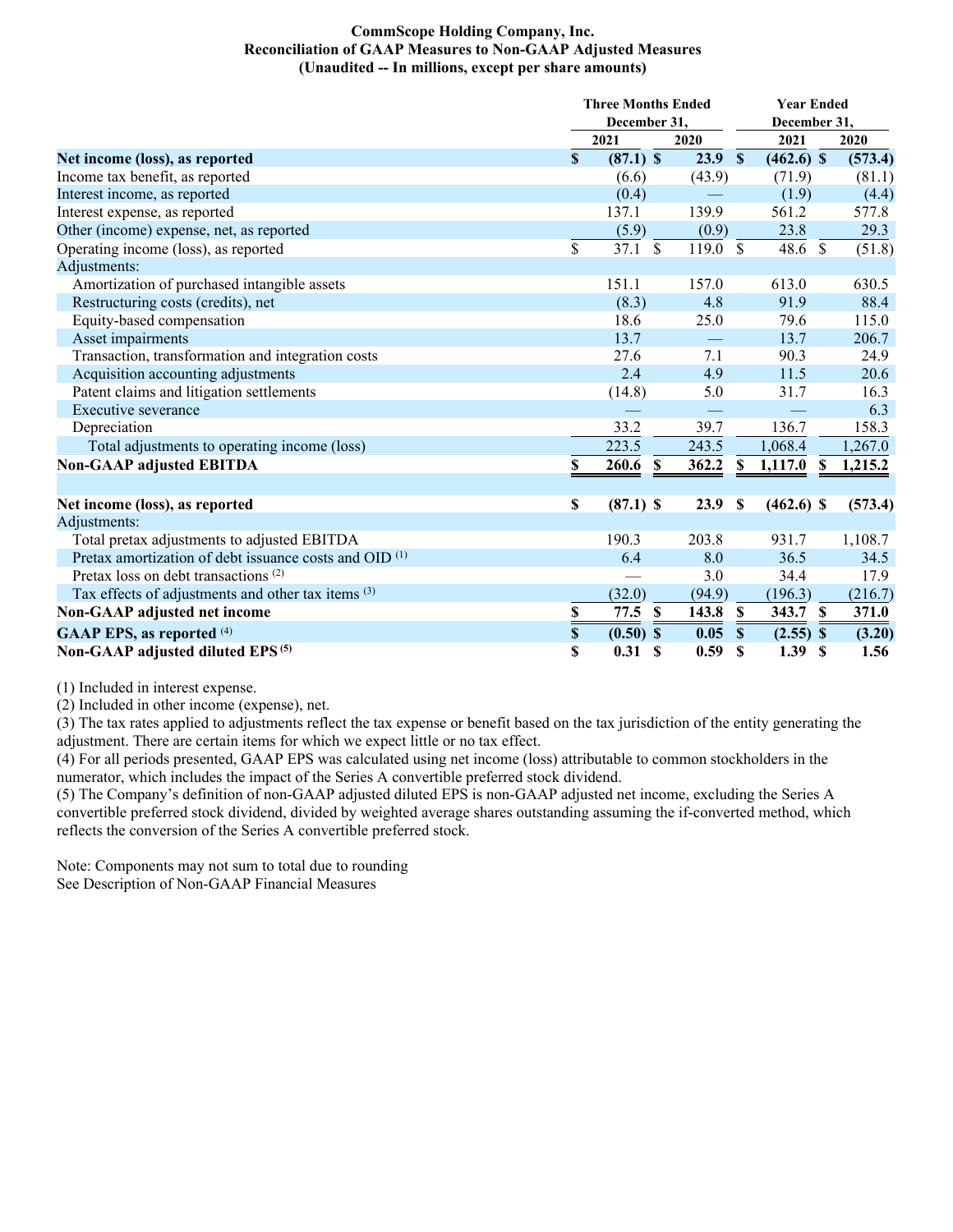## **CommScope Holding Company, Inc. Reconciliation of GAAP Measures to Non-GAAP Adjusted Measures (Unaudited -- In millions, except per share amounts)**

|                                                                   |                           | <b>Three Months Ended</b> |        | <b>Year Ended</b> |                        |         |  |
|-------------------------------------------------------------------|---------------------------|---------------------------|--------|-------------------|------------------------|---------|--|
|                                                                   |                           | December 31,              |        |                   | December 31,           |         |  |
|                                                                   |                           | 2021                      | 2020   |                   | 2021                   | 2020    |  |
| Net income (loss), as reported                                    | $\mathbf S$               | $(87.1)$ \$               | 23.9   | $\mathbf{\$}$     | $(462.6)$ \$           | (573.4) |  |
| Income tax benefit, as reported                                   |                           | (6.6)                     | (43.9) |                   | (71.9)                 | (81.1)  |  |
| Interest income, as reported                                      |                           | (0.4)                     |        |                   | (1.9)                  | (4.4)   |  |
| Interest expense, as reported                                     |                           | 137.1                     | 139.9  |                   | 561.2                  | 577.8   |  |
| Other (income) expense, net, as reported                          |                           | (5.9)                     | (0.9)  |                   | 23.8                   | 29.3    |  |
| Operating income (loss), as reported                              | \$                        | 37.1 S                    | 119.0  | $\mathcal{S}$     | 48.6 \$                | (51.8)  |  |
| Adjustments:                                                      |                           |                           |        |                   |                        |         |  |
| Amortization of purchased intangible assets                       |                           | 151.1                     | 157.0  |                   | 613.0                  | 630.5   |  |
| Restructuring costs (credits), net                                |                           | (8.3)                     | 4.8    |                   | 91.9                   | 88.4    |  |
| Equity-based compensation                                         |                           | 18.6                      | 25.0   |                   | 79.6                   | 115.0   |  |
| Asset impairments                                                 |                           | 13.7                      |        |                   | 13.7                   | 206.7   |  |
| Transaction, transformation and integration costs                 |                           | 27.6                      | 7.1    |                   | 90.3                   | 24.9    |  |
| Acquisition accounting adjustments                                |                           | 2.4                       | 4.9    |                   | 11.5                   | 20.6    |  |
| Patent claims and litigation settlements                          |                           | (14.8)                    | 5.0    |                   | 31.7                   | 16.3    |  |
| Executive severance                                               |                           |                           |        |                   |                        | 6.3     |  |
| Depreciation                                                      |                           | 33.2                      | 39.7   |                   | 136.7                  | 158.3   |  |
| Total adjustments to operating income (loss)                      |                           | 223.5                     | 243.5  |                   | 1,068.4                | 1,267.0 |  |
| <b>Non-GAAP adjusted EBITDA</b>                                   | \$                        | $\mathbf{s}$<br>260.6     | 362.2  | $\mathbf S$       | 1,117.0<br>$\mathbf S$ | 1,215.2 |  |
|                                                                   |                           |                           |        |                   |                        |         |  |
| Net income (loss), as reported                                    | \$                        | $(87.1)$ \$               | 23.9   | $\mathbf S$       | $(462.6)$ \$           | (573.4) |  |
| Adjustments:                                                      |                           |                           |        |                   |                        |         |  |
| Total pretax adjustments to adjusted EBITDA                       |                           | 190.3                     | 203.8  |                   | 931.7                  | 1,108.7 |  |
| Pretax amortization of debt issuance costs and OID <sup>(1)</sup> |                           | 6.4                       | 8.0    |                   | 36.5                   | 34.5    |  |
| Pretax loss on debt transactions <sup>(2)</sup>                   |                           |                           | 3.0    |                   | 34.4                   | 17.9    |  |
| Tax effects of adjustments and other tax items (3)                |                           | (32.0)                    | (94.9) |                   | (196.3)                | (216.7) |  |
| <b>Non-GAAP</b> adjusted net income                               | \$                        | 77.5<br><b>S</b>          | 143.8  | <sup>\$</sup>     | 343.7 \$               | 371.0   |  |
| <b>GAAP EPS, as reported (4)</b>                                  | $\boldsymbol{\mathsf{S}}$ | $(0.50)$ \$               | 0.05   | $\mathbf{s}$      | $(2.55)$ \$            | (3.20)  |  |
| Non-GAAP adjusted diluted EPS <sup>(5)</sup>                      | \$                        | 0.31 S                    | 0.59   | S                 | 1.39<br>- S            | 1.56    |  |

(1) Included in interest expense.

(2) Included in other income (expense), net.

(3) The tax rates applied to adjustments reflect the tax expense or benefit based on the tax jurisdiction of the entity generating the adjustment. There are certain items for which we expect little or no tax effect.

(4) For all periods presented, GAAP EPS was calculated using net income (loss) attributable to common stockholders in the numerator, which includes the impact of the Series A convertible preferred stock dividend.

(5) The Company's definition of non-GAAP adjusted diluted EPS is non-GAAP adjusted net income, excluding the Series A convertible preferred stock dividend, divided by weighted average shares outstanding assuming the if-converted method, which reflects the conversion of the Series A convertible preferred stock.

Note: Components may not sum to total due to rounding See Description of Non-GAAP Financial Measures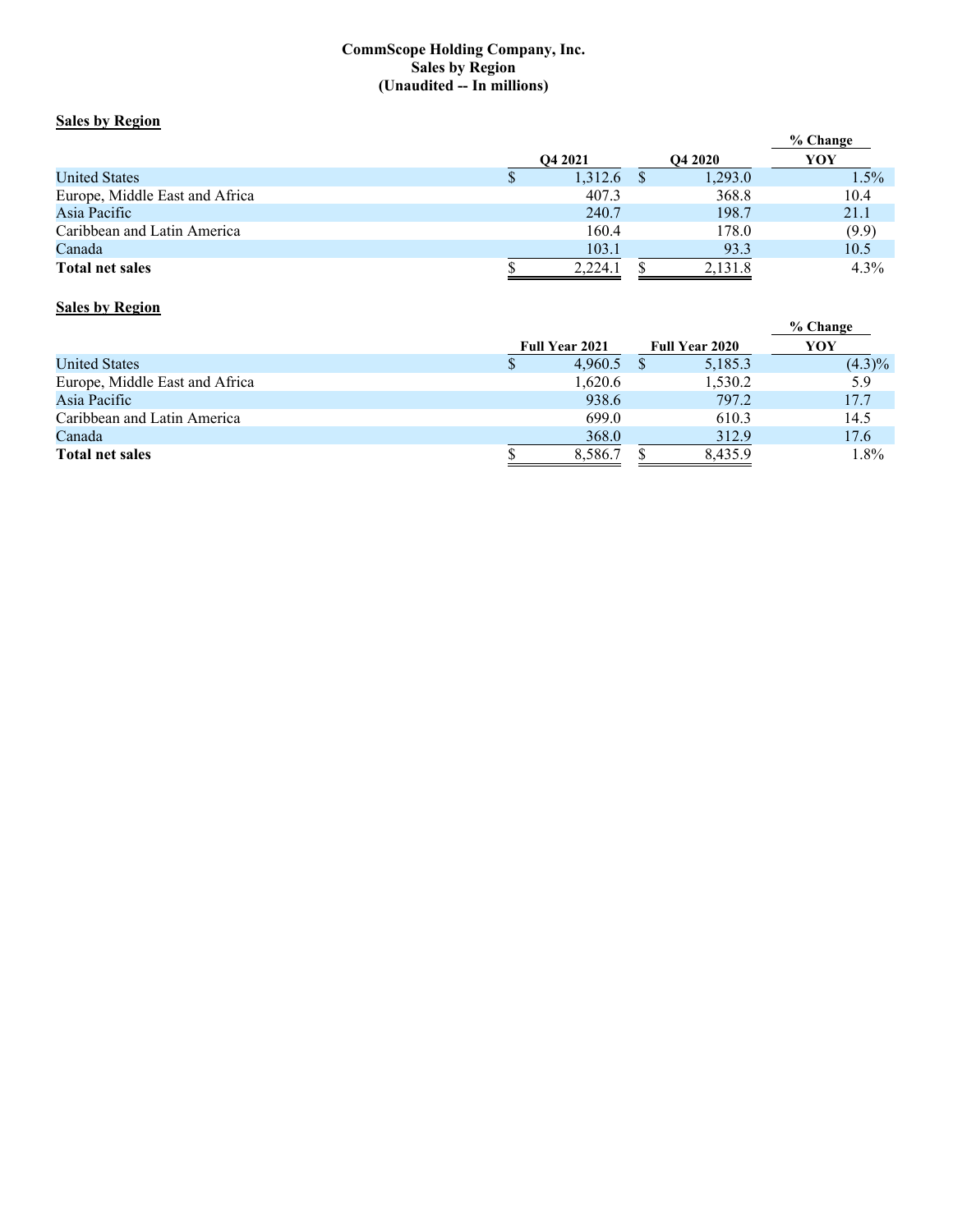## **CommScope Holding Company, Inc. Sales by Region (Unaudited -- In millions)**

## **Sales by Region**

|                                |                     |         |  |                | $%$ Change |
|--------------------------------|---------------------|---------|--|----------------|------------|
|                                | O <sub>4</sub> 2021 |         |  | <b>O4 2020</b> | YOY        |
| <b>United States</b>           | J.                  | 1,312.6 |  | 1,293.0        | 1.5%       |
| Europe, Middle East and Africa |                     | 407.3   |  | 368.8          | 10.4       |
| Asia Pacific                   |                     | 240.7   |  | 198.7          | 21.1       |
| Caribbean and Latin America    |                     | 160.4   |  | 178.0          | (9.9)      |
| Canada                         |                     | 103.1   |  | 93.3           | 10.5       |
| <b>Total net sales</b>         |                     | 2,224.1 |  | 2,131.8        | 4.3%       |

# **Sales by Region**

|                                |                       |                       | % Change  |
|--------------------------------|-----------------------|-----------------------|-----------|
|                                | <b>Full Year 2021</b> | <b>Full Year 2020</b> | YOY       |
| <b>United States</b>           | 4.960.5               | 5,185.3               | $(4.3)\%$ |
| Europe, Middle East and Africa | 1,620.6               | 1,530.2               | 5.9       |
| Asia Pacific                   | 938.6                 | 797.2                 | 17.7      |
| Caribbean and Latin America    | 699.0                 | 610.3                 | 14.5      |
| Canada                         | 368.0                 | 312.9                 | 17.6      |
| <b>Total net sales</b>         | 8,586.7               | 8,435.9               | 1.8%      |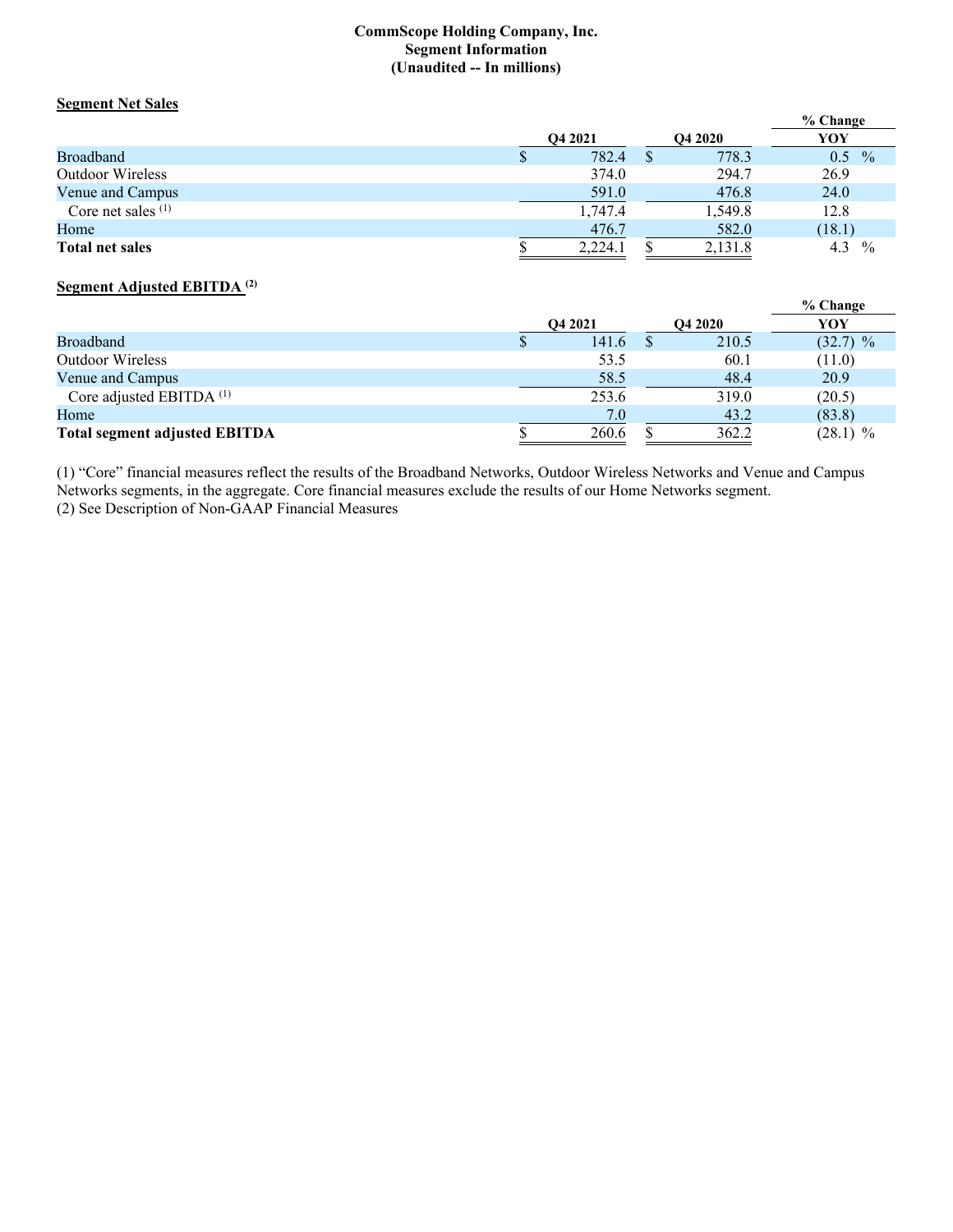#### **CommScope Holding Company, Inc. Segment Information (Unaudited -- In millions)**

# **Segment Net Sales**

|                         |                     |         | % Change             |
|-------------------------|---------------------|---------|----------------------|
|                         | O <sub>4</sub> 2021 | YOY     |                      |
| <b>Broadband</b>        | 782.4               | 778.3   | $\frac{0}{0}$<br>0.5 |
| <b>Outdoor Wireless</b> | 374.0               | 294.7   | 26.9                 |
| Venue and Campus        | 591.0               | 476.8   | 24.0                 |
| Core net sales $(1)$    | 1,747.4             | 1,549.8 | 12.8                 |
| Home                    | 476.7               | 582.0   | (18.1)               |
| <b>Total net sales</b>  | 2.224.1             | 2,131.8 | 4.3<br>$\frac{0}{0}$ |

## **Segment Adjusted EBITDA (2)**

|                                      |                     |                | % Change   |
|--------------------------------------|---------------------|----------------|------------|
|                                      | O <sub>4</sub> 2021 | <b>O4 2020</b> | YOY        |
| Broadband                            | 141.6               | 210.5          | $(32.7)$ % |
| <b>Outdoor Wireless</b>              | 53.5                | 60.1           | (11.0)     |
| Venue and Campus                     | 58.5                | 48.4           | 20.9       |
| Core adjusted EBITDA <sup>(1)</sup>  | 253.6               | 319.0          | (20.5)     |
| Home                                 | 7.0                 | 43.2           | (83.8)     |
| <b>Total segment adjusted EBITDA</b> | 260.6               | 362.2          | $(28.1)$ % |

(1) "Core" financial measures reflect the results of the Broadband Networks, Outdoor Wireless Networks and Venue and Campus Networks segments, in the aggregate. Core financial measures exclude the results of our Home Networks segment. (2) See Description of Non-GAAP Financial Measures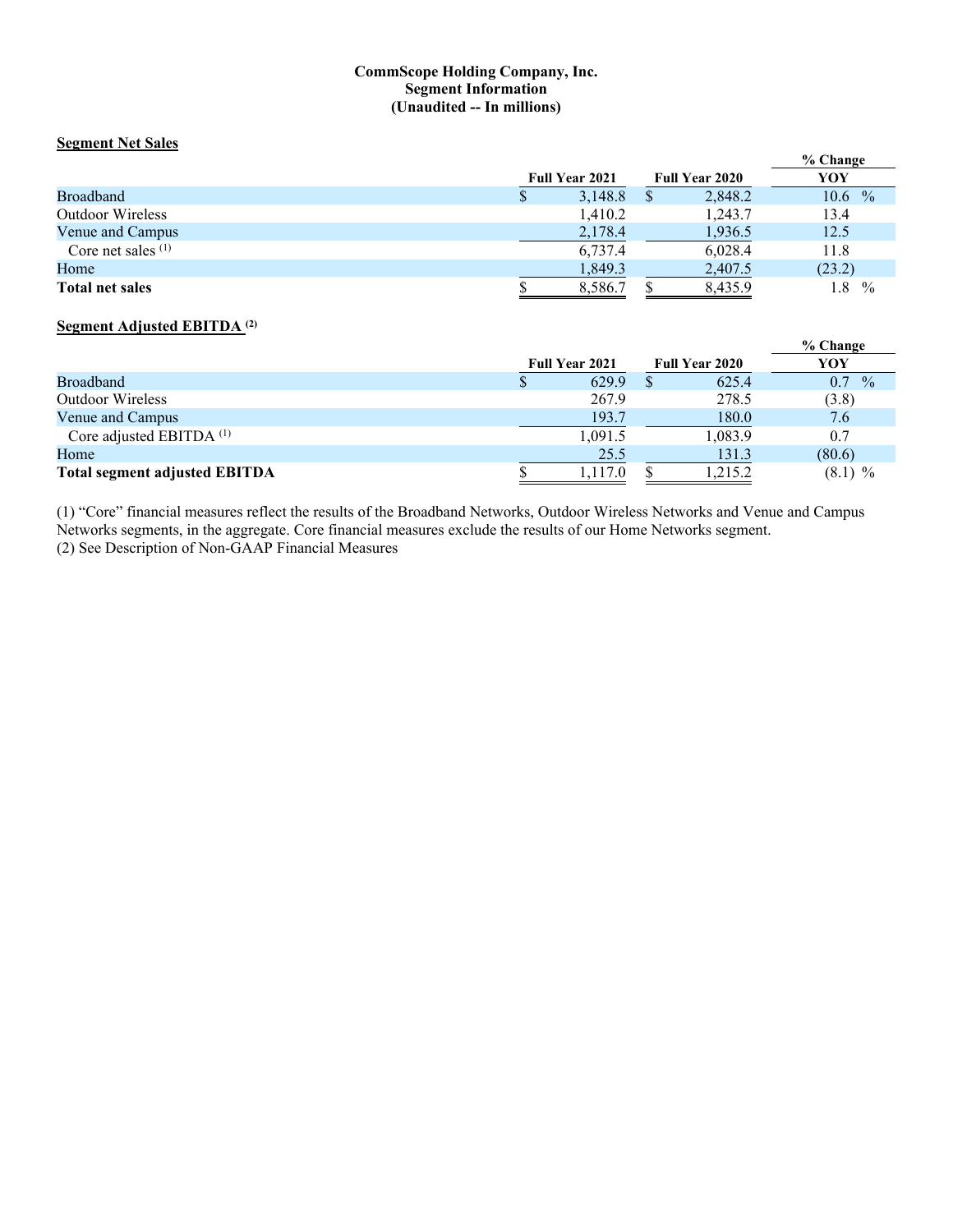#### **CommScope Holding Company, Inc. Segment Information (Unaudited -- In millions)**

#### **Segment Net Sales**

|                         |   |                       |                       | % Change             |
|-------------------------|---|-----------------------|-----------------------|----------------------|
|                         |   | <b>Full Year 2021</b> | <b>Full Year 2020</b> | YOY                  |
| <b>Broadband</b>        | Φ | 3,148.8               | 2,848.2               | $10.6\%$             |
| <b>Outdoor Wireless</b> |   | 1,410.2               | 1.243.7               | 13.4                 |
| Venue and Campus        |   | 2,178.4               | 1,936.5               | 12.5                 |
| Core net sales $(1)$    |   | 6,737.4               | 6,028.4               | 11.8                 |
| Home                    |   | 1,849.3               | 2,407.5               | (23.2)               |
| <b>Total net sales</b>  |   | 8,586.7               | 8,435.9               | 1.8<br>$\frac{0}{0}$ |

## **Segment Adjusted EBITDA (2)**

|                                      |                       |                       | % Change             |
|--------------------------------------|-----------------------|-----------------------|----------------------|
|                                      | <b>Full Year 2021</b> | <b>Full Year 2020</b> | YOY                  |
| <b>Broadband</b>                     | 629.9                 | 625.4                 | $\frac{0}{0}$<br>0.7 |
| <b>Outdoor Wireless</b>              | 267.9                 | 278.5                 | (3.8)                |
| Venue and Campus                     | 193.7                 | 180.0                 | 7.6                  |
| Core adjusted EBITDA <sup>(1)</sup>  | 1,091.5               | 1,083.9               | 0.7                  |
| Home                                 | 25.5                  | 131.3                 | (80.6)               |
| <b>Total segment adjusted EBITDA</b> | 1,117.0               | 1,215.2               | $(8.1)$ %            |

(1) "Core" financial measures reflect the results of the Broadband Networks, Outdoor Wireless Networks and Venue and Campus Networks segments, in the aggregate. Core financial measures exclude the results of our Home Networks segment. (2) See Description of Non-GAAP Financial Measures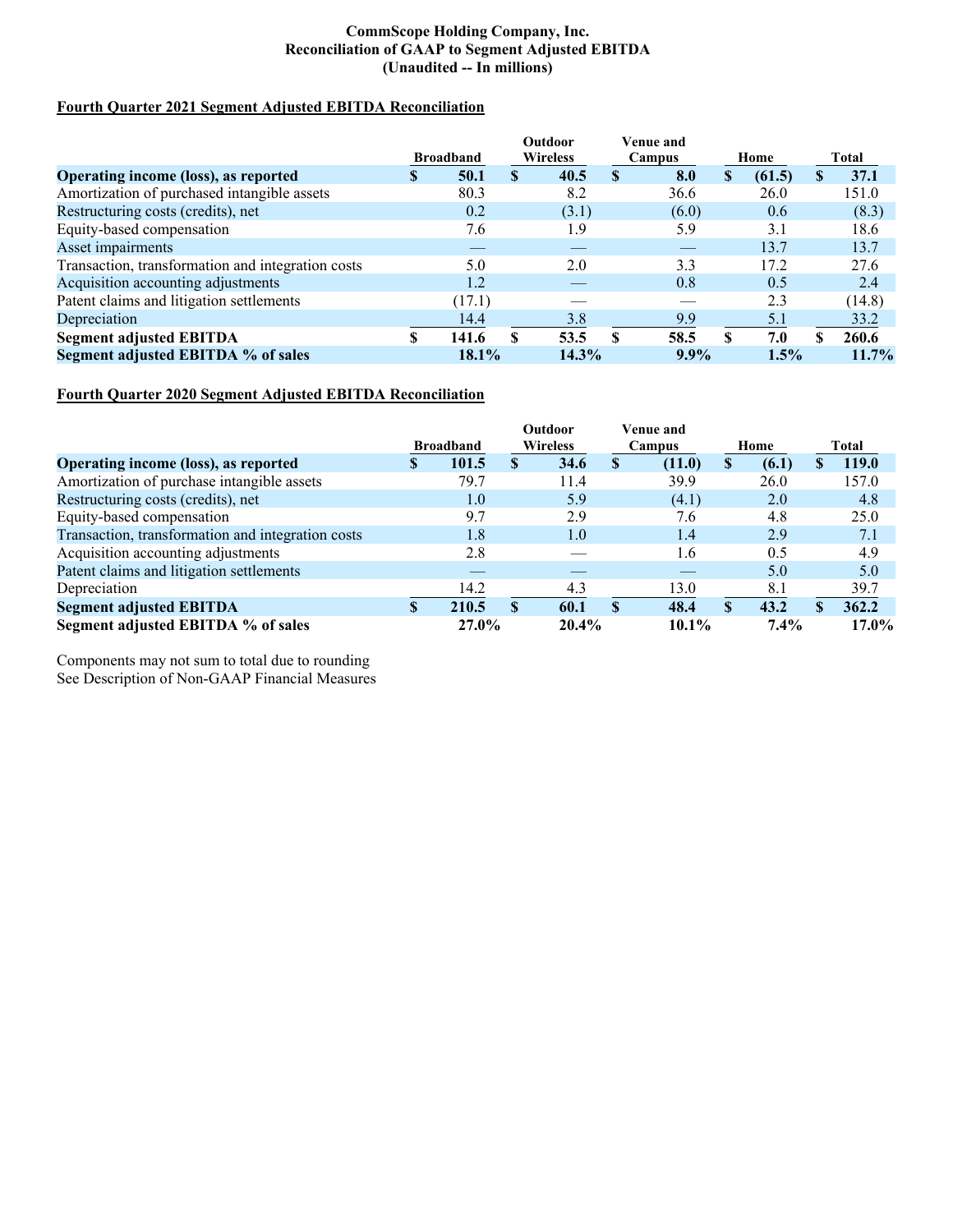#### **CommScope Holding Company, Inc. Reconciliation of GAAP to Segment Adjusted EBITDA (Unaudited -- In millions)**

#### **Fourth Quarter 2021 Segment Adjusted EBITDA Reconciliation**

|                                                   |    |                  |              | Outdoor         |               | Venue and |      |        |    |              |
|---------------------------------------------------|----|------------------|--------------|-----------------|---------------|-----------|------|--------|----|--------------|
|                                                   |    | <b>Broadband</b> |              | <b>Wireless</b> | Campus        |           | Home |        |    | <b>Total</b> |
| Operating income (loss), as reported              | S. | 50.1             | $\mathbf{s}$ | 40.5            | <sup>\$</sup> | 8.0       | S    | (61.5) | S. | 37.1         |
| Amortization of purchased intangible assets       |    | 80.3             |              | 8.2             |               | 36.6      |      | 26.0   |    | 151.0        |
| Restructuring costs (credits), net                |    | 0.2              |              | (3.1)           |               | (6.0)     |      | 0.6    |    | (8.3)        |
| Equity-based compensation                         |    | 7.6              |              | 1.9             |               | 5.9       |      | 3.1    |    | 18.6         |
| Asset impairments                                 |    |                  |              |                 |               |           |      | 13.7   |    | 13.7         |
| Transaction, transformation and integration costs |    | 5.0              |              | 2.0             |               | 3.3       |      | 17.2   |    | 27.6         |
| Acquisition accounting adjustments                |    | 1.2              |              |                 |               | 0.8       |      | 0.5    |    | 2.4          |
| Patent claims and litigation settlements          |    | (17.1)           |              |                 |               |           |      | 2.3    |    | (14.8)       |
| Depreciation                                      |    | 14.4             |              | 3.8             |               | 9.9       |      | 5.1    |    | 33.2         |
| <b>Segment adjusted EBITDA</b>                    |    | 141.6            | \$           | 53.5            | S             | 58.5      | \$   | 7.0    | S. | 260.6        |
| Segment adjusted EBITDA % of sales                |    | $18.1\%$         |              | 14.3%           |               | $9.9\%$   |      | 1.5%   |    | $11.7\%$     |

# **Fourth Quarter 2020 Segment Adjusted EBITDA Reconciliation**

|                                                   |                  |       | <b>Outdoor</b>  |          | Venue and    |          |              |       |              |
|---------------------------------------------------|------------------|-------|-----------------|----------|--------------|----------|--------------|-------|--------------|
|                                                   | <b>Broadband</b> |       | <b>Wireless</b> |          | Campus       |          | Home         |       | Total        |
| Operating income (loss), as reported              | ъ                | 101.5 | <b>S</b>        | 34.6     | S            | (11.0)   | S            | (6.1) | <b>119.0</b> |
| Amortization of purchase intangible assets        |                  | 79.7  |                 | 11.4     |              | 39.9     |              | 26.0  | 157.0        |
| Restructuring costs (credits), net                |                  | 1.0   |                 | 5.9      |              | (4.1)    |              | 2.0   | 4.8          |
| Equity-based compensation                         |                  | 9.7   |                 | 2.9      |              | 7.6      |              | 4.8   | 25.0         |
| Transaction, transformation and integration costs |                  | 1.8   |                 | 1.0      |              | 1.4      |              | 2.9   | 7.1          |
| Acquisition accounting adjustments                |                  | 2.8   |                 |          |              | 1.6      |              | 0.5   | 4.9          |
| Patent claims and litigation settlements          |                  |       |                 |          |              |          |              | 5.0   | 5.0          |
| Depreciation                                      |                  | 14.2  |                 | 4.3      |              | 13.0     |              | 8.1   | 39.7         |
| <b>Segment adjusted EBITDA</b>                    |                  | 210.5 | $\mathbf{S}$    | 60.1     | $\mathbf{s}$ | 48.4     | $\mathbf{s}$ | 43.2  | 362.2        |
| Segment adjusted EBITDA % of sales                |                  | 27.0% |                 | $20.4\%$ |              | $10.1\%$ |              | 7.4%  | $17.0\%$     |

Components may not sum to total due to rounding See Description of Non-GAAP Financial Measures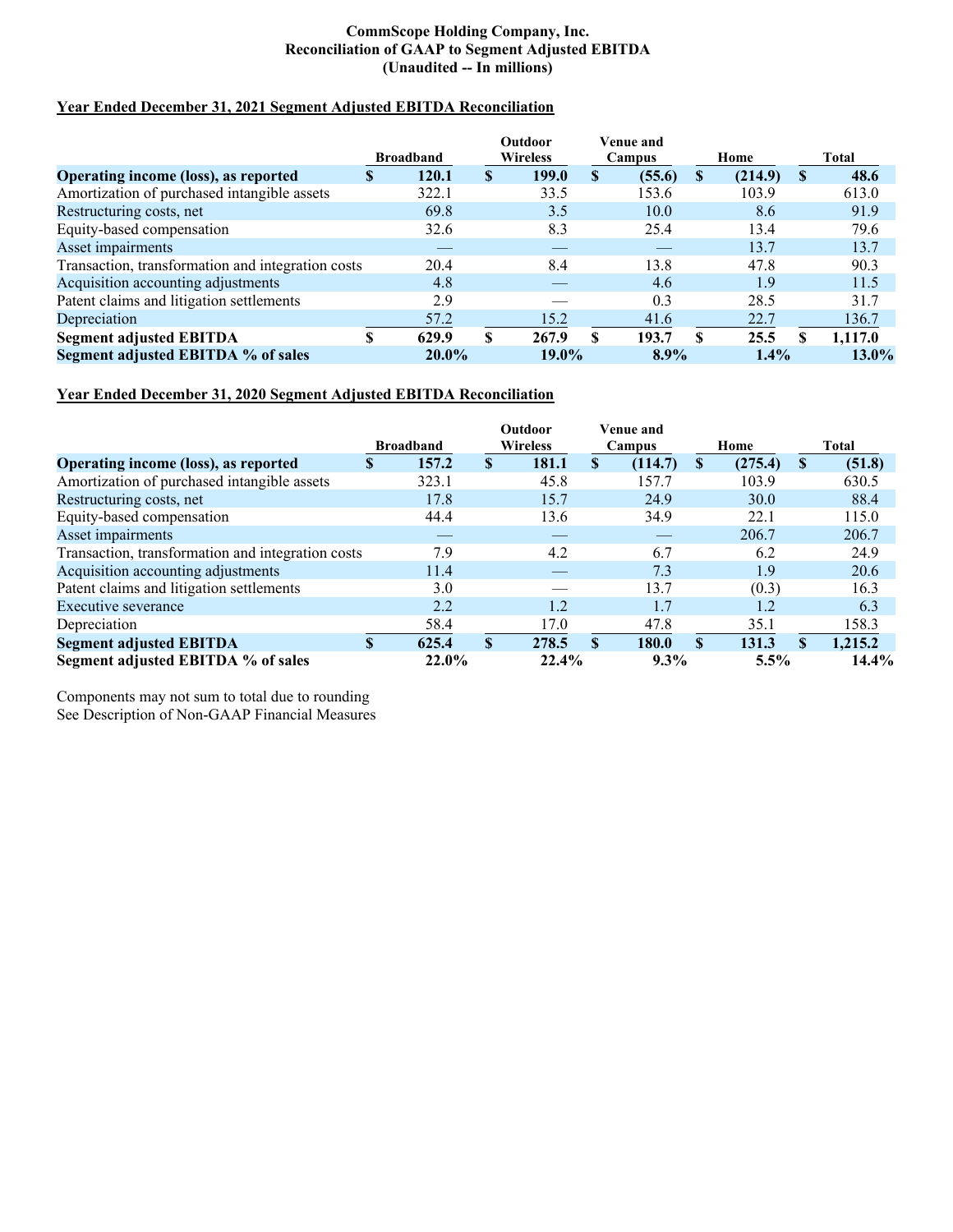#### **CommScope Holding Company, Inc. Reconciliation of GAAP to Segment Adjusted EBITDA (Unaudited -- In millions)**

## **Year Ended December 31, 2021 Segment Adjusted EBITDA Reconciliation**

|                                                   |    |                  | Outdoor |                 |              | Venue and |    |         |       |          |  |
|---------------------------------------------------|----|------------------|---------|-----------------|--------------|-----------|----|---------|-------|----------|--|
|                                                   |    | <b>Broadband</b> |         | <b>Wireless</b> |              | Campus    |    | Home    | Total |          |  |
| Operating income (loss), as reported              | S  | 120.1            | S       | 199.0           | $\mathbf{s}$ | (55.6)    | S  | (214.9) | S     | 48.6     |  |
| Amortization of purchased intangible assets       |    | 322.1            |         | 33.5            |              | 153.6     |    | 103.9   |       | 613.0    |  |
| Restructuring costs, net                          |    | 69.8             |         | 3.5             |              | 10.0      |    | 8.6     |       | 91.9     |  |
| Equity-based compensation                         |    | 32.6             |         | 8.3             |              | 25.4      |    | 13.4    |       | 79.6     |  |
| Asset impairments                                 |    |                  |         | __              |              |           |    | 13.7    |       | 13.7     |  |
| Transaction, transformation and integration costs |    | 20.4             |         | 8.4             |              | 13.8      |    | 47.8    |       | 90.3     |  |
| Acquisition accounting adjustments                |    | 4.8              |         |                 |              | 4.6       |    | 1.9     |       | 11.5     |  |
| Patent claims and litigation settlements          |    | 2.9              |         |                 |              | 0.3       |    | 28.5    |       | 31.7     |  |
| Depreciation                                      |    | 57.2             |         | 15.2            |              | 41.6      |    | 22.7    |       | 136.7    |  |
| <b>Segment adjusted EBITDA</b>                    | \$ | 629.9            | \$      | 267.9           | S            | 193.7     | \$ | 25.5    | S     | 1,117.0  |  |
| Segment adjusted EBITDA % of sales                |    | $20.0\%$         |         | $19.0\%$        |              | $8.9\%$   |    | $1.4\%$ |       | $13.0\%$ |  |

# **Year Ended December 31, 2020 Segment Adjusted EBITDA Reconciliation**

|                                                   |                  |       |              | Outdoor         | Venue and    |         |               |          |          |  |
|---------------------------------------------------|------------------|-------|--------------|-----------------|--------------|---------|---------------|----------|----------|--|
|                                                   | <b>Broadband</b> |       |              | <b>Wireless</b> |              | Campus  | Home          | Total    |          |  |
| Operating income (loss), as reported              | S                | 157.2 | S            | 181.1           | \$           | (114.7) | \$<br>(275.4) | S        | (51.8)   |  |
| Amortization of purchased intangible assets       |                  | 323.1 |              | 45.8            |              | 157.7   | 103.9         |          | 630.5    |  |
| Restructuring costs, net                          |                  | 17.8  |              | 15.7            |              | 24.9    | 30.0          |          | 88.4     |  |
| Equity-based compensation                         |                  | 44.4  |              | 13.6            |              | 34.9    | 22.1          |          | 115.0    |  |
| Asset impairments                                 |                  |       |              |                 |              |         | 206.7         |          | 206.7    |  |
| Transaction, transformation and integration costs |                  | 7.9   |              | 4.2             |              | 6.7     | 6.2           |          | 24.9     |  |
| Acquisition accounting adjustments                |                  | 11.4  |              |                 |              | 7.3     | 1.9           |          | 20.6     |  |
| Patent claims and litigation settlements          |                  | 3.0   |              |                 |              | 13.7    | (0.3)         |          | 16.3     |  |
| Executive severance                               |                  | 2.2   |              | 1.2             |              | 1.7     | 1.2           |          | 6.3      |  |
| Depreciation                                      |                  | 58.4  |              | 17.0            |              | 47.8    | 35.1          |          | 158.3    |  |
| <b>Segment adjusted EBITDA</b>                    | \$               | 625.4 | $\mathbf{s}$ | 278.5           | $\mathbf{s}$ | 180.0   | \$<br>131.3   | <b>S</b> | 1,215.2  |  |
| Segment adjusted EBITDA % of sales                |                  | 22.0% |              | 22.4%           |              | $9.3\%$ | 5.5%          |          | $14.4\%$ |  |

Components may not sum to total due to rounding See Description of Non-GAAP Financial Measures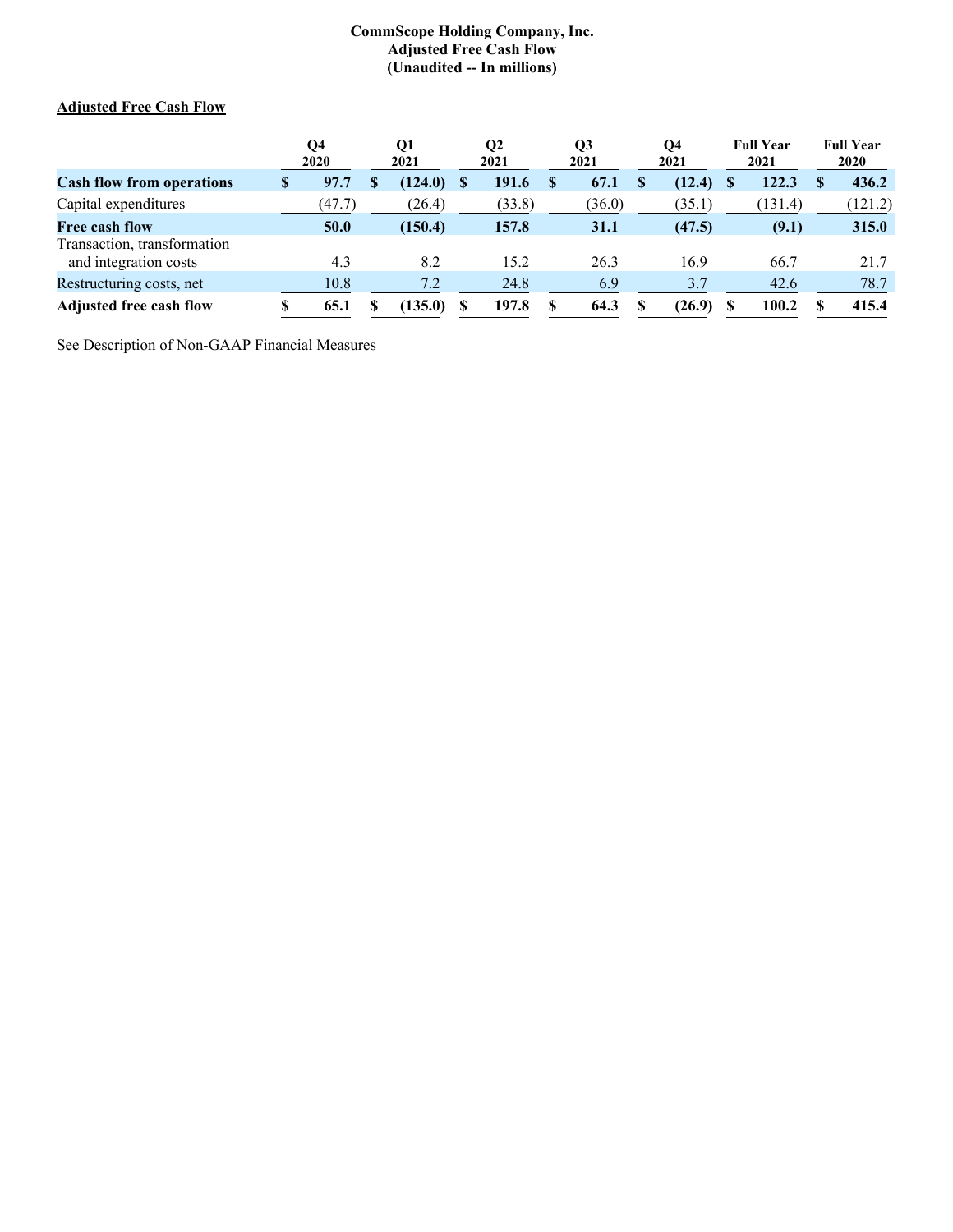#### **CommScope Holding Company, Inc. Adjusted Free Cash Flow (Unaudited -- In millions)**

# **Adjusted Free Cash Flow**

|                                                      | Q4<br>2020 | Q1<br>2021 | <b>O2</b><br>2021 |        | Q <sub>3</sub><br>2021 |        | О4<br>2021 |        | <b>Full Year</b><br>2021 |         | <b>Full Year</b><br><b>2020</b> |
|------------------------------------------------------|------------|------------|-------------------|--------|------------------------|--------|------------|--------|--------------------------|---------|---------------------------------|
| <b>Cash flow from operations</b>                     | \$<br>97.7 | (124.0)    |                   | 191.6  |                        | 67.1   |            | (12.4) |                          | 122.3   | 436.2                           |
| Capital expenditures                                 | (47.7)     | (26.4)     |                   | (33.8) |                        | (36.0) |            | (35.1) |                          | (131.4) | (121.2)                         |
| Free cash flow                                       | 50.0       | (150.4)    |                   | 157.8  |                        | 31.1   |            | (47.5) |                          | (9.1)   | 315.0                           |
| Transaction, transformation<br>and integration costs | 4.3        | 8.2        |                   | 15.2   |                        | 26.3   |            | 16.9   |                          | 66.7    | 21.7                            |
| Restructuring costs, net                             | 10.8       | 7.2        |                   | 24.8   |                        | 6.9    |            | 3.7    |                          | 42.6    | 78.7                            |
| <b>Adjusted free cash flow</b>                       | 65.1       | (135.0)    |                   | 197.8  |                        | 64.3   |            | (26.9) |                          | 100.2   | 415.4                           |

See Description of Non-GAAP Financial Measures